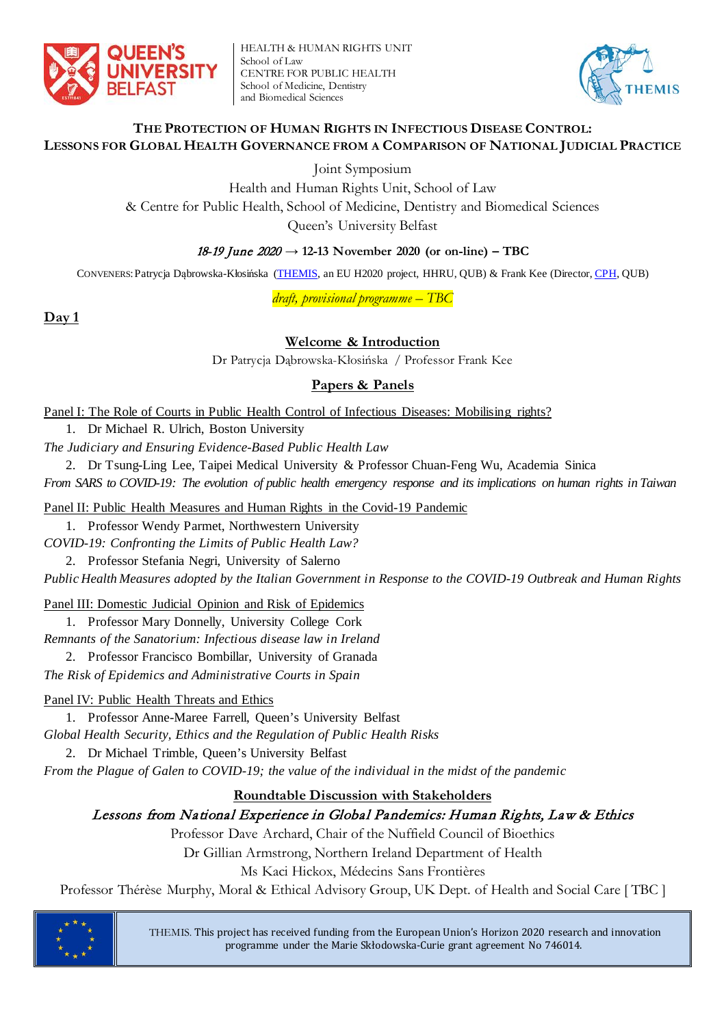

HEALTH & HUMAN RIGHTS UNIT School of Law CENTRE FOR PUBLIC HEALTH School of Medicine, Dentistry and Biomedical Sciences



#### **THE PROTECTION OF HUMAN RIGHTS IN INFECTIOUS DISEASE CONTROL: LESSONS FOR GLOBAL HEALTH GOVERNANCE FROM A COMPARISON OF NATIONAL JUDICIAL PRACTICE**

Joint Symposium

Health and Human Rights Unit, School of Law

& Centre for Public Health, School of Medicine, Dentistry and Biomedical Sciences

Queen's University Belfast

### 18-19 June 2020 **→ 12-13 November 2020 (or on-line) – TBC**

CONVENERS:Patrycja Dąbrowska-Kłosińska [\(THEMIS,](http://law.qub.ac.uk/schools/SchoolofLaw/research/research-projects/project-sites/themis-project/) an EU H2020 project, HHRU, QUB) & Frank Kee (Director, [CPH,](https://www.qub.ac.uk/research-centres/CentreforPublicHealth/) QUB)

*draft, provisional programme – TBC*

**Day 1**

## **Welcome & Introduction**

Dr Patrycja Dąbrowska-Kłosińska / Professor Frank Kee

#### **Papers & Panels**

Panel I: The Role of Courts in Public Health Control of Infectious Diseases: Mobilising rights?

1. Dr Michael R. Ulrich, Boston University

*The Judiciary and Ensuring Evidence-Based Public Health Law*

2. Dr Tsung-Ling Lee, Taipei Medical University & Professor Chuan-Feng Wu, Academia Sinica

*From SARS to COVID-19: The evolution of public health emergency response and its implications on human rights in Taiwan*

Panel II: Public Health Measures and Human Rights in the Covid-19 Pandemic

1. Professor Wendy Parmet, Northwestern University

*COVID-19: Confronting the Limits of Public Health Law?*

2. Professor Stefania Negri, University of Salerno

*Public Health Measures adopted by the Italian Government in Response to the COVID-19 Outbreak and Human Rights*

Panel III: Domestic Judicial Opinion and Risk of Epidemics

1. Professor Mary Donnelly, University College Cork

*Remnants of the Sanatorium: Infectious disease law in Ireland*

2. Professor Francisco Bombillar, University of Granada

*The Risk of Epidemics and Administrative Courts in Spain*

Panel IV: Public Health Threats and Ethics

1. Professor Anne-Maree Farrell, Queen's University Belfast *Global Health Security, Ethics and the Regulation of Public Health Risks*

2. Dr Michael Trimble, Queen's University Belfast

*From the Plague of Galen to COVID-19; the value of the individual in the midst of the pandemic*

#### **Roundtable Discussion with Stakeholders**

## Lessons from National Experience in Global Pandemics: Human Rights, Law & Ethics

Professor Dave Archard, Chair of the Nuffield Council of Bioethics

Dr Gillian Armstrong, Northern Ireland Department of Health

Ms Kaci Hickox, Médecins Sans Frontières

Professor Thérèse Murphy, Moral & Ethical Advisory Group, UK Dept. of Health and Social Care [ TBC ]



THEMIS. This project has received funding from the European Union's Horizon 2020 research and innovation programme under the Marie Skłodowska-Curie grant agreement No 746014.